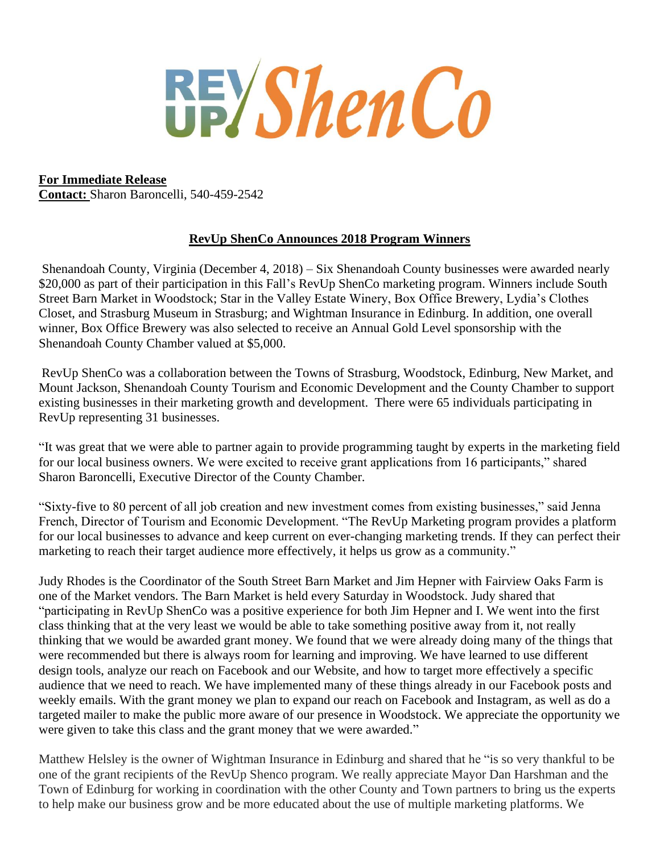**REYShenCo** 

## **For Immediate Release**

**Contact:** Sharon Baroncelli, 540-459-2542

## **RevUp ShenCo Announces 2018 Program Winners**

Shenandoah County, Virginia (December 4, 2018) – Six Shenandoah County businesses were awarded nearly \$20,000 as part of their participation in this Fall's RevUp ShenCo marketing program. Winners include South Street Barn Market in Woodstock; Star in the Valley Estate Winery, Box Office Brewery, Lydia's Clothes Closet, and Strasburg Museum in Strasburg; and Wightman Insurance in Edinburg. In addition, one overall winner, Box Office Brewery was also selected to receive an Annual Gold Level sponsorship with the Shenandoah County Chamber valued at \$5,000.

RevUp ShenCo was a collaboration between the Towns of Strasburg, Woodstock, Edinburg, New Market, and Mount Jackson, Shenandoah County Tourism and Economic Development and the County Chamber to support existing businesses in their marketing growth and development. There were 65 individuals participating in RevUp representing 31 businesses.

"It was great that we were able to partner again to provide programming taught by experts in the marketing field for our local business owners. We were excited to receive grant applications from 16 participants," shared Sharon Baroncelli, Executive Director of the County Chamber.

"Sixty-five to 80 percent of all job creation and new investment comes from existing businesses," said Jenna French, Director of Tourism and Economic Development. "The RevUp Marketing program provides a platform for our local businesses to advance and keep current on ever-changing marketing trends. If they can perfect their marketing to reach their target audience more effectively, it helps us grow as a community."

Judy Rhodes is the Coordinator of the South Street Barn Market and Jim Hepner with Fairview Oaks Farm is one of the Market vendors. The Barn Market is held every Saturday in Woodstock. Judy shared that "participating in RevUp ShenCo was a positive experience for both Jim Hepner and I. We went into the first class thinking that at the very least we would be able to take something positive away from it, not really thinking that we would be awarded grant money. We found that we were already doing many of the things that were recommended but there is always room for learning and improving. We have learned to use different design tools, analyze our reach on Facebook and our Website, and how to target more effectively a specific audience that we need to reach. We have implemented many of these things already in our Facebook posts and weekly emails. With the grant money we plan to expand our reach on Facebook and Instagram, as well as do a targeted mailer to make the public more aware of our presence in Woodstock. We appreciate the opportunity we were given to take this class and the grant money that we were awarded."

Matthew Helsley is the owner of Wightman Insurance in Edinburg and shared that he "is so very thankful to be one of the grant recipients of the RevUp Shenco program. We really appreciate Mayor Dan Harshman and the Town of Edinburg for working in coordination with the other County and Town partners to bring us the experts to help make our business grow and be more educated about the use of multiple marketing platforms. We